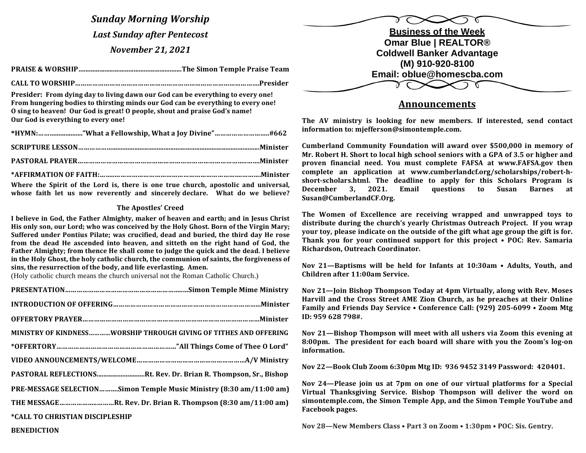*Sunday Morning Worship Last Sunday after Pentecost November 21, 2021*

**PRAISE & WORSHIP….........................................................The Simon Temple Praise Team**

 **CALL TO WORSHIP…………………………………………………………………………………….Presider**

**Presider:** From dying day to living dawn our God can be everything to every one! From hungering bodies to thirsting minds our God can be everything to every one! **O** sing to heaven! Our God is great! O people, shout and praise God's name! **Our God is everything to every one!** 

Where the Spirit of the Lord is, there is one true church, apostolic and universal, **whose faith let us now reverently and sincerely declare.** What do we believe?

## **The Apostles' Creed**

I believe in God, the Father Almighty, maker of heaven and earth; and in Jesus Christ His only son, our Lord; who was conceived by the Holy Ghost. Born of the Virgin Mary; Suffered under Pontius Pilate; was crucified, dead and buried, the third day He rose from the dead He ascended into heaven, and sitteth on the right hand of God, the **Father Almighty; from thence He shall come to judge the quick and the dead. I believe** in the Holy Ghost, the holy catholic church, the communion of saints, the forgiveness of sins, the resurrection of the body, and life everlasting. Amen.

(Holy catholic church means the church universal not the Roman Catholic Church.)

|                                                                     | Nov 21-Join Bishop Thom                                                                                                                                                                                                                                                                                                                   |  |
|---------------------------------------------------------------------|-------------------------------------------------------------------------------------------------------------------------------------------------------------------------------------------------------------------------------------------------------------------------------------------------------------------------------------------|--|
|                                                                     | <b>Harvill and the Cross Stree</b><br><b>Family and Friends Day Set</b>                                                                                                                                                                                                                                                                   |  |
|                                                                     | ID: 959 628 798#.                                                                                                                                                                                                                                                                                                                         |  |
| MINISTRY OF KINDNESSWORSHIP THROUGH GIVING OF TITHES AND OFFERING   | Nov 21-Bishop Thompson                                                                                                                                                                                                                                                                                                                    |  |
|                                                                     | 8:00pm. The president for<br>information.                                                                                                                                                                                                                                                                                                 |  |
|                                                                     | Nov 22-Book Club Zoom 6:                                                                                                                                                                                                                                                                                                                  |  |
| PASTORAL REFLECTIONSRt. Rev. Dr. Brian R. Thompson, Sr., Bishop     |                                                                                                                                                                                                                                                                                                                                           |  |
| PRE-MESSAGE SELECTIONSimon Temple Music Ministry (8:30 am/11:00 am) | Nov 24-Please join us at<br>Virtual Thanksgiving Serv                                                                                                                                                                                                                                                                                     |  |
| THE MESSAGERt. Rev. Dr. Brian R. Thompson (8:30 am/11:00 am)        | simontemple.com, the Simo<br>Facebook pages.                                                                                                                                                                                                                                                                                              |  |
| *CALL TO CHRISTIAN DISCIPLESHIP                                     |                                                                                                                                                                                                                                                                                                                                           |  |
|                                                                     | $\mathbf{M}$ , $\mathbf{A}$ , $\mathbf{M}$ , $\mathbf{M}$ , $\mathbf{M}$ , $\mathbf{M}$ , $\mathbf{M}$ , $\mathbf{M}$ , $\mathbf{M}$ , $\mathbf{M}$ , $\mathbf{M}$ , $\mathbf{M}$ , $\mathbf{M}$ , $\mathbf{M}$ , $\mathbf{M}$ , $\mathbf{M}$ , $\mathbf{M}$ , $\mathbf{M}$ , $\mathbf{M}$ , $\mathbf{M}$ , $\mathbf{M}$ , $\mathbf{M}$ , |  |



## **Announcements**

The AV ministry is looking for new members. If interested, send contact **information to: mjefferson@simontemple.com.**

Cumberland Community Foundation will award over \$500,000 in memory of **Mr. Robert H. Short to local high school seniors with a GPA of 3.5 or higher and proven financial need. You must complete FAFSA at www.FAFSA.gov then** complete an application at www.cumberlandcf.org/scholarships/robert-hshort-scholars.html. The deadline to apply for this Scholars Program is **December** 3, 2021. Email questions to Susan Barnes at **Susan@CumberlandCF.Org.**

The Women of Excellence are receiving wrapped and unwrapped toys to distribute during the church's yearly Christmas Outreach Project. If you wrap **your toy, please indicate on the outside of the gift what age group the gift is for. Thank you for your continued support for this project • POC: Rev. Samaria Richardson, Outreach Coordinator.** 

**Nov 21—Baptisms will be held for Infants at 10:30am • Adults, Youth, and Children after 11:00am Service.** 

**Nov 21—Join Bishop Thompson Today at 4pm Virtually, along with Rev. Moses** Harvill and the Cross Street AME Zion Church, as he preaches at their Online **Family and Friends Day Service • Conference Call: (929) 205-6099 • Zoom Mtg ID: 959 628 798#.** 

**Nov 21—Bishop Thompson will meet with all ushers via Zoom this evening at** 8:00pm. The president for each board will share with you the Zoom's log-on **information.** 

Nov 22-Book Club Zoom 6:30pm Mtg ID: 936 9452 3149 Password: 420401.

Nov 24—Please join us at 7pm on one of our virtual platforms for a Special Virtual Thanksgiving Service. Bishop Thompson will deliver the word on simontemple.com, the Simon Temple App, and the Simon Temple YouTube and **Facebook** pages.

**Nov 28—New Members Class • Part 3 on Zoom • 1:30pm • POC: Sis. Gentry.** 

**BENEDICTION**